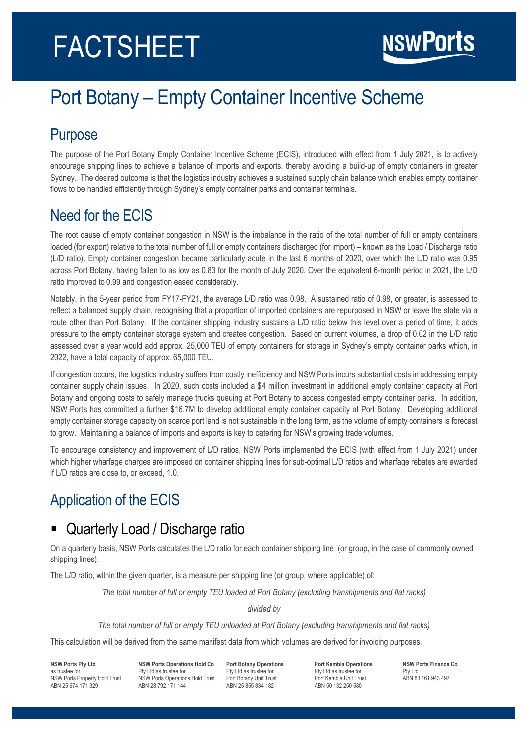# FACTSHEET

# Port Botany – Empty Container Incentive Scheme

#### Purpose

The purpose of the Port Botany Empty Container Incentive Scheme (ECIS), introduced with effect from 1 July 2021, is to actively encourage shipping lines to achieve a balance of imports and exports, thereby avoiding a build-up of empty containers in greater Sydney. The desired outcome is that the logistics industry achieves a sustained supply chain balance which enables empty container flows to be handled efficiently through Sydney's empty container parks and container terminals.

## Need for the ECIS

The root cause of empty container congestion in NSW is the imbalance in the ratio of the total number of full or empty containers loaded (for export) relative to the total number of full or empty containers discharged (for import) – known as the Load / Discharge ratio (L/D ratio). Empty container congestion became particularly acute in the last 6 months of 2020, over which the L/D ratio was 0.95 across Port Botany, having fallen to as low as 0.83 for the month of July 2020. Over the equivalent 6-month period in 2021, the L/D ratio improved to 0.99 and congestion eased considerably.

Notably, in the 5-year period from FY17-FY21, the average L/D ratio was 0.98. A sustained ratio of 0.98, or greater, is assessed to reflect a balanced supply chain, recognising that a proportion of imported containers are repurposed in NSW or leave the state via a route other than Port Botany. If the container shipping industry sustains a L/D ratio below this level over a period of time, it adds pressure to the empty container storage system and creates congestion. Based on current volumes, a drop of 0.02 in the L/D ratio assessed over a year would add approx. 25,000 TEU of empty containers for storage in Sydney's empty container parks which, in 2022, have a total capacity of approx. 65,000 TEU.

If congestion occurs, the logistics industry suffers from costly inefficiency and NSW Ports incurs substantial costs in addressing empty container supply chain issues. In 2020, such costs included a \$4 million investment in additional empty container capacity at Port Botany and ongoing costs to safely manage trucks queuing at Port Botany to access congested empty container parks. In addition, NSW Ports has committed a further \$16.7M to develop additional empty container capacity at Port Botany. Developing additional empty container storage capacity on scarce port land is not sustainable in the long term, as the volume of empty containers is forecast to grow. Maintaining a balance of imports and exports is key to catering for NSW's growing trade volumes.

To encourage consistency and improvement of L/D ratios, NSW Ports implemented the ECIS (with effect from 1 July 2021) under which higher wharfage charges are imposed on container shipping lines for sub-optimal L/D ratios and wharfage rebates are awarded if L/D ratios are close to, or exceed, 1.0.

# Application of the ECIS

## ■ Quarterly Load / Discharge ratio

On a quarterly basis, NSW Ports calculates the L/D ratio for each container shipping line (or group, in the case of commonly owned shipping lines).

The L/D ratio, within the given quarter, is a measure per shipping line (or group, where applicable) of:

*The total number of full or empty TEU loaded at Port Botany (excluding transhipments and flat racks)*

*divided by*

*The total number of full or empty TEU unloaded at Port Botany (excluding transhipments and flat racks)*

This calculation will be derived from the same manifest data from which volumes are derived for invoicing purposes.

**NSW Ports Pty Ltd** as trustee for NSW Ports Property Hold Trust ABN 25 674 171 329

**NSW Ports Operations Hold Co** Pty Ltd as trustee for NSW Ports Operations Hold Trust ABN 28 792 171 144

**Port Botany Operations** Pty Ltd as trustee for Port Botany Unit Trust ABN 25 855 834 182

**Port Kembla Operations** Pty Ltd as trustee for Port Kembla Unit Trust ABN 50 132 250 580

**NSW Ports Finance Co** Pty Ltd ABN 83 161 943 497